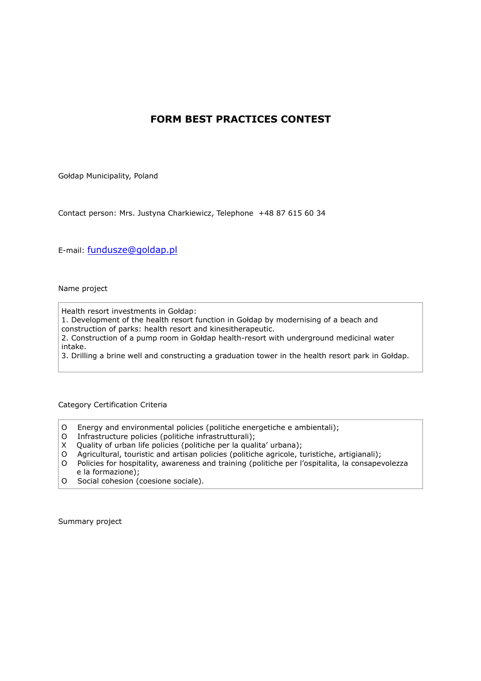## **FORM BEST PRACTICES CONTEST**

Gołdap Municipality, Poland

Contact person: Mrs. Justyna Charkiewicz, Telephone +48 87 615 60 34

E-mail: [fundusze@goldap.pl](mailto:fundusze@goldap.pl)

Name project

Health resort investments in Gołdap:

1. Development of the health resort function in Gołdap by modernising of a beach and construction of parks: health resort and kinesitherapeutic.

2. Construction of a pump room in Gołdap health-resort with underground medicinal water intake.

3. Drilling a brine well and constructing a graduation tower in the health resort park in Gołdap.

Category Certification Criteria

- O Energy and environmental policies (politiche energetiche e ambientali);
- O Infrastructure policies (politiche infrastrutturali);
- X Quality of urban life policies (politiche per la qualita' urbana);
- O Agricultural, touristic and artisan policies (politiche agricole, turistiche, artigianali);
- O Policies for hospitality, awareness and training (politiche per l'ospitalita, la consapevolezza e la formazione);
- O Social cohesion (coesione sociale).

Summary project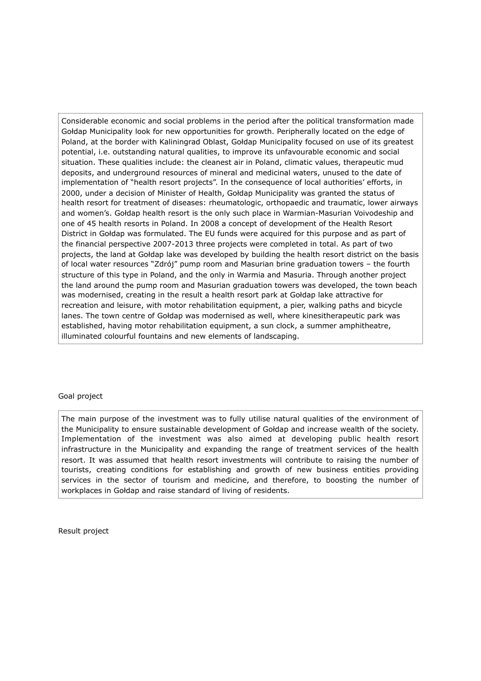Considerable economic and social problems in the period after the political transformation made Gołdap Municipality look for new opportunities for growth. Peripherally located on the edge of Poland, at the border with Kaliningrad Oblast, Gołdap Municipality focused on use of its greatest potential, i.e. outstanding natural qualities, to improve its unfavourable economic and social situation. These qualities include: the cleanest air in Poland, climatic values, therapeutic mud deposits, and underground resources of mineral and medicinal waters, unused to the date of implementation of "health resort projects". In the consequence of local authorities' efforts, in 2000, under a decision of Minister of Health, Gołdap Municipality was granted the status of health resort for treatment of diseases: rheumatologic, orthopaedic and traumatic, lower airways and women's. Gołdap health resort is the only such place in Warmian-Masurian Voivodeship and one of 45 health resorts in Poland. In 2008 a concept of development of the Health Resort District in Gołdap was formulated. The EU funds were acquired for this purpose and as part of the financial perspective 2007-2013 three projects were completed in total. As part of two projects, the land at Gołdap lake was developed by building the health resort district on the basis of local water resources "Zdrój" pump room and Masurian brine graduation towers – the fourth structure of this type in Poland, and the only in Warmia and Masuria. Through another project the land around the pump room and Masurian graduation towers was developed, the town beach was modernised, creating in the result a health resort park at Gołdap lake attractive for recreation and leisure, with motor rehabilitation equipment, a pier, walking paths and bicycle lanes. The town centre of Gołdap was modernised as well, where kinesitherapeutic park was established, having motor rehabilitation equipment, a sun clock, a summer amphitheatre, illuminated colourful fountains and new elements of landscaping.

## Goal project

The main purpose of the investment was to fully utilise natural qualities of the environment of the Municipality to ensure sustainable development of Gołdap and increase wealth of the society. Implementation of the investment was also aimed at developing public health resort infrastructure in the Municipality and expanding the range of treatment services of the health resort. It was assumed that health resort investments will contribute to raising the number of tourists, creating conditions for establishing and growth of new business entities providing services in the sector of tourism and medicine, and therefore, to boosting the number of workplaces in Gołdap and raise standard of living of residents.

Result project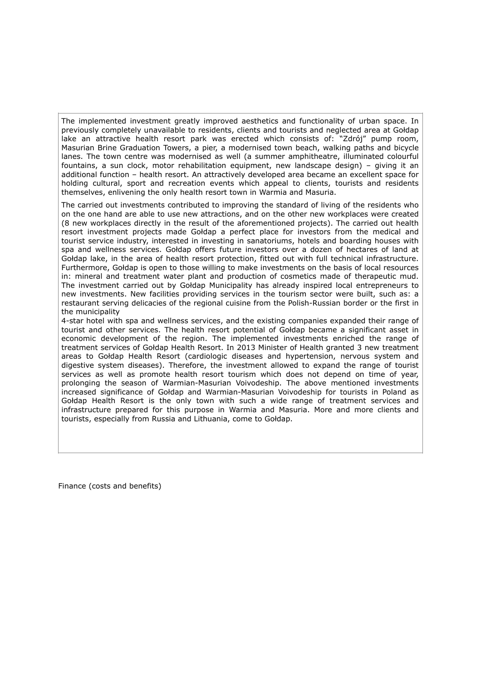The implemented investment greatly improved aesthetics and functionality of urban space. In previously completely unavailable to residents, clients and tourists and neglected area at Gołdap lake an attractive health resort park was erected which consists of: "Zdrój" pump room, Masurian Brine Graduation Towers, a pier, a modernised town beach, walking paths and bicycle lanes. The town centre was modernised as well (a summer amphitheatre, illuminated colourful fountains, a sun clock, motor rehabilitation equipment, new landscape design) – giving it an additional function – health resort. An attractively developed area became an excellent space for holding cultural, sport and recreation events which appeal to clients, tourists and residents themselves, enlivening the only health resort town in Warmia and Masuria.

The carried out investments contributed to improving the standard of living of the residents who on the one hand are able to use new attractions, and on the other new workplaces were created (8 new workplaces directly in the result of the aforementioned projects). The carried out health resort investment projects made Gołdap a perfect place for investors from the medical and tourist service industry, interested in investing in sanatoriums, hotels and boarding houses with spa and wellness services. Gołdap offers future investors over a dozen of hectares of land at Gołdap lake, in the area of health resort protection, fitted out with full technical infrastructure. Furthermore, Gołdap is open to those willing to make investments on the basis of local resources in: mineral and treatment water plant and production of cosmetics made of therapeutic mud. The investment carried out by Gołdap Municipality has already inspired local entrepreneurs to new investments. New facilities providing services in the tourism sector were built, such as: a restaurant serving delicacies of the regional cuisine from the Polish-Russian border or the first in the municipality

4-star hotel with spa and wellness services, and the existing companies expanded their range of tourist and other services. The health resort potential of Gołdap became a significant asset in economic development of the region. The implemented investments enriched the range of treatment services of Gołdap Health Resort. In 2013 Minister of Health granted 3 new treatment areas to Gołdap Health Resort (cardiologic diseases and hypertension, nervous system and digestive system diseases). Therefore, the investment allowed to expand the range of tourist services as well as promote health resort tourism which does not depend on time of year, prolonging the season of Warmian-Masurian Voivodeship. The above mentioned investments increased significance of Gołdap and Warmian-Masurian Voivodeship for tourists in Poland as Gołdap Health Resort is the only town with such a wide range of treatment services and infrastructure prepared for this purpose in Warmia and Masuria. More and more clients and tourists, especially from Russia and Lithuania, come to Gołdap.

Finance (costs and benefits)